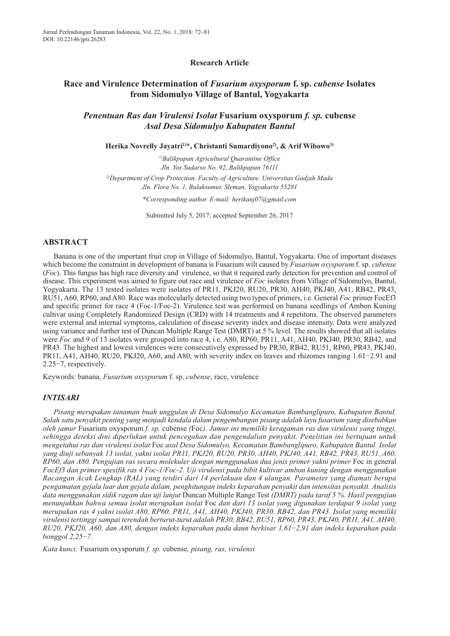## **Research Article**

# **Race and Virulence Determination of** *Fusarium oxysporum* **f. sp.** *cubense* **Isolates from Sidomulyo Village of Bantul, Yogyakarta**

*Penentuan Ras dan Virulensi Isolat* **Fusarium oxysporum** *f. sp.* **cubense** *Asal Desa Sidomulyo Kabupaten Bantul*

**Herika Novrelly Jayatri 1)** \***, Christanti Sumardiyono2) , & Arif Wibowo3)**

*1) Balikpapan Agricultural Quarantine Office Jln. Yos Sudarso No. 92, Balikpapan 76111*

*2) Department of Crop Protection, Faculty of Agriculture, Universitas Gadjah Mada Jln. Flora No. 1, Bulaksumur, Sleman, Yogyakarta 55281*

*\*Corresponding author. E-mail: herikanj07@gmail.com*

Submitted July 5, 2017; accepted September 26, 2017

### **ABSTRACT**

Banana is one of the important fruit crop in Village of Sidomulyo, Bantul, Yogyakarta. One of important diseases which become the constraint in development of banana is Fusarium wilt caused by *Fusarium oxysporum* f. sp. *cubense* (*Foc*). This fungus has high race diversity and virulence, so that it required early detection for prevention and control of disease. This experiment was aimed to figure out race and virulence of *Foc* isolates from Village of Sidomulyo, Bantul, Yogyakarta. The 13 tested isolates were isolates of PR11, PKJ20, RU20, PR30, AH40, PKJ40, A41, RB42, PR43, RU51, A60, RP60, and A80. Race was molecularly detected using two types of primers, i.e. General *Foc* primer FocEf3 and specific primer for race 4 (Foc-1/Foc-2). Virulence test was performed on banana seedlings of Ambon Kuning cultivar using Completely Randomized Design (CRD) with 14 treatments and 4 repetitons. The observed parameters were external and internal symptoms, calculation of disease severity index and disease intensity. Data were analyzed using variance and further test of Duncan Multiple Range Test (DMRT) at 5 % level. The results showed that all isolates were *Foc* and 9 of 13 isolates were grouped into race 4, i.e. A80, RP60, PR11, A41, AH40, PKJ40, PR30, RB42, and PR43. The highest and lowest virulences were consecutively expressed by PR30, RB42, RU51, RP60, PR43, PKJ40, PR11, A41, AH40, RU20, PKJ20, A60, and A80, with severity index on leaves and rhizomes ranging 1.61−2.91 and 2.25−7, respectively.

Keywords: banana, *Fusarium oxysporum* f. sp. *cubense*, race, virulence

### *INTISARI*

*Pisang merupakan tanaman buah unggulan di Desa Sidomulyo Kecamatan Bambanglipuro, Kabupaten Bantul. Salah satu penyakit penting yang menjadi kendala dalam pengembangan pisang adalah layu fusarium yang disebabkan oleh jamur* Fusarium oxysporum *f. sp.* cubense *(*Foc*)*. *Jamur ini memiliki keragaman ras dan virulensi yang tinggi, sehingga deteksi dini diperlukan untuk pencegahan dan pengendalian penyakit. Penelitian ini bertujuan untuk mengetahui ras dan virulensi isolat* Foc *asal Desa Sidomulyo, Kecamatan Bambanglipuro, Kabupaten Bantul. Isolat* vang diuji sebanyak 13 isolat, yakni isolat PR11, PKJ20, RU20, PR30, AH40, PKJ40, A41, RB42, PR43, RU51, A60, *RP60, dan A80. Pengujian ras secara molekuler dengan menggunakan dua jenis primer yakni primer* Foc in general *FocEf3 dan primer spesifik ras 4 Foc-1/Foc-2. Uji virulensi pada bibit kultivar ambon kuning dengan menggunakan Racangan Acak Lengkap (RAL) yang terdiri dari 14 perlakuan dan 4 ulangan. Parameter yang diamati berupa pengamatan gejala luar dan gejala dalam, penghitungan indeks keparahan penyakit dan intensitas penyakit. Analisis data menggunakan sidik ragam dan uji lanjut* Duncan Multiple Range Test *(DMRT) pada taraf 5 %. Hasil pengujian menunjukkan bahwa semua isolat merupakan isolat* Foc *dan dari 13 isolat yang digunakan terdapat 9 isolat yang* merupakan ras 4 yakni isolat A80, RP60, PR11, A41, AH40, PKJ40, PR30, RB42, dan PR43. Isolat yang memiliki *virulensi tertinggi sampai terendah berturut-turut adalah PR30, RB42, RU51, RP60, PR43, PKJ40, PR11, A41, AH40, RU20, PKJ20, A60, dan A80, dengan indeks keparahan pada daun berkisar 1,61*−*2,91 dan indeks keparahan pada bonggol 2,25*−*7.*

*Kata kunci:* Fusarium oxysporum *f. sp.* cubense*, pisang, ras, virulensi*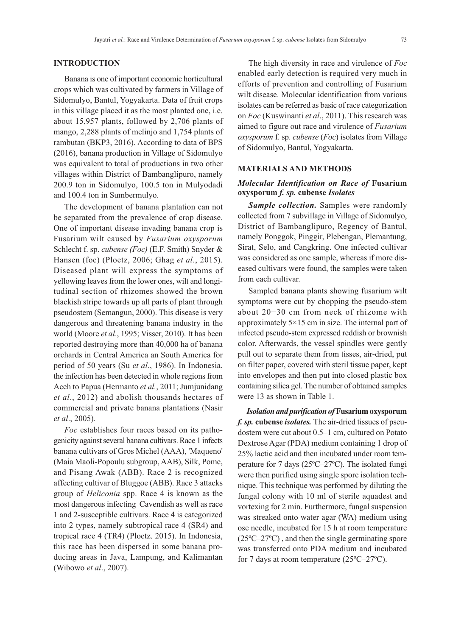## **INTRODUCTION**

Banana is one of important economic horticultural crops which was cultivated by farmers in Village of Sidomulyo, Bantul, Yogyakarta. Data of fruit crops in this village placed it as the most planted one, i.e. about 15,957 plants, followed by 2,706 plants of mango, 2,288 plants of melinjo and 1,754 plants of rambutan (BKP3, 2016). According to data of BPS (2016), banana production in Village of Sidomulyo was equivalent to total of productions in two other villages within District of Bambanglipuro, namely 200.9 ton in Sidomulyo, 100.5 ton in Mulyodadi and 100.4 ton in Sumbermulyo.

The development of banana plantation can not be separated from the prevalence of crop disease. One of important disease invading banana crop is Fusarium wilt caused by *Fusarium oxysporum* Schlecht f. sp. *cubense (Foc)* (E.F. Smith) Snyder & Hansen (foc) (Ploetz, 2006; Ghag *et al*., 2015). Diseased plant will express the symptoms of yellowing leaves from the lower ones, wilt and longitudinal section of rhizomes showed the brown blackish stripe towards up all parts of plant through pseudostem (Semangun, 2000). This disease is very dangerous and threatening banana industry in the world (Moore *et al*., 1995; Visser, 2010). It has been reported destroying more than 40,000 ha of banana orchards in Central America an South America for period of 50 years (Su *et al*., 1986). In Indonesia, the infection has been detected in whole regions from Aceh to Papua (Hermanto *et al.*, 2011; Jumjunidang *et al*., 2012) and abolish thousands hectares of commercial and private banana plantations (Nasir *et al*., 2005).

*Foc* establishes four races based on its pathogenicity against several banana cultivars. Race 1 infects banana cultivars of Gros Michel (AAA), 'Maqueno' (Maia Maoli-Popoulu subgroup, AAB), Silk, Pome, and Pisang Awak (ABB). Race 2 is recognized affecting cultivar of Bluggoe (ABB). Race 3 attacks group of *Heliconia* spp. Race 4 is known as the most dangerous infecting Cavendish as well as race 1 and 2-susceptible cultivars. Race 4 is categorized into 2 types, namely subtropical race 4 (SR4) and tropical race 4 (TR4) (Ploetz. 2015). In Indonesia, this race has been dispersed in some banana producing areas in Java, Lampung, and Kalimantan (Wibowo *et al*., 2007).

The high diversity in race and virulence of *Foc* enabled early detection is required very much in efforts of prevention and controlling of Fusarium wilt disease. Molecular identification from various isolates can be referred as basic of race categorization on *Foc* (Kuswinanti *et al*., 2011). This research was aimed to figure out race and virulence of *Fusarium oxysporum* f. sp. *cubense* (*Foc*) isolates from Village of Sidomulyo, Bantul, Yogyakarta.

### **MATERIALS AND METHODS**

## *Molecular Identification on Race of* **Fusarium oxysporum** *f. sp.* **cubense** *Isolates*

*Sample collection.* Samples were randomly collected from 7 subvillage in Village of Sidomulyo, District of Bambanglipuro, Regency of Bantul, namely Ponggok, Pinggir, Plebengan, Plemantung, Sirat, Selo, and Cangkring. One infected cultivar was considered as one sample, whereas if more diseased cultivars were found, the samples were taken from each cultivar.

Sampled banana plants showing fusarium wilt symptoms were cut by chopping the pseudo-stem about 20−30 cm from neck of rhizome with approximately 5×15 cm in size. The internal part of infected pseudo-stem expressed reddish or brownish color. Afterwards, the vessel spindles were gently pull out to separate them from tisses, air-dried, put on filter paper, covered with steril tissue paper, kept into envelopes and then put into closed plastic box containing silica gel. The number of obtained samples were 13 as shown in Table 1.

*Isolation and purification of***Fusarium oxysporum** *f. sp.* **cubense** *isolates.* The air-dried tissues of pseudostem were cut about 0.5–1 cm, cultured on Potato Dextrose Agar (PDA) medium containing 1 drop of 25% lactic acid and then incubated under room temperature for 7 days (25ºC–27ºC). The isolated fungi were then purified using single spore isolation technique. This technique was performed by diluting the fungal colony with 10 ml of sterile aquadest and vortexing for 2 min. Furthermore, fungal suspension was streaked onto water agar (WA) medium using ose needle, incubated for 15 h at room temperature (25ºC–27ºC) , and then the single germinating spore was transferred onto PDA medium and incubated for 7 days at room temperature (25ºC–27ºC).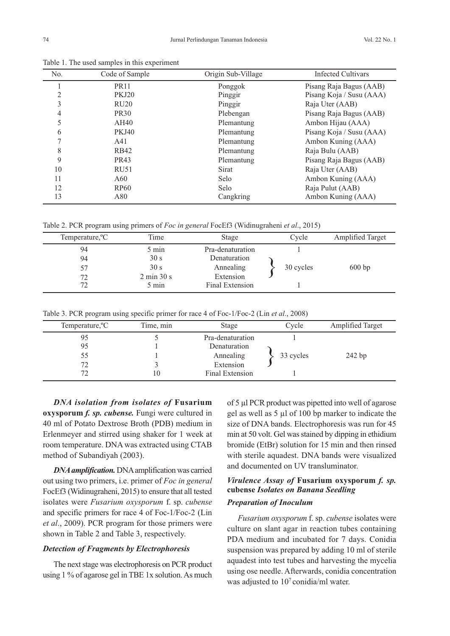|     | Table 1. The used samples in this experiment |                    |                           |
|-----|----------------------------------------------|--------------------|---------------------------|
| No. | Code of Sample                               | Origin Sub-Village | <b>Infected Cultivars</b> |
|     | <b>PR11</b>                                  | Ponggok            | Pisang Raja Bagus (AAB)   |
| 2   | <b>PKJ20</b>                                 | Pinggir            | Pisang Koja / Susu (AAA)  |
| 3   | RU20                                         | Pinggir            | Raja Uter (AAB)           |
| 4   | <b>PR30</b>                                  | Plebengan          | Pisang Raja Bagus (AAB)   |
|     | AH40                                         | Plemantung         | Ambon Hijau (AAA)         |
| 6   | <b>PKJ40</b>                                 | Plemantung         | Pisang Koja / Susu (AAA)  |
|     | A41                                          | Plemantung         | Ambon Kuning (AAA)        |
| 8   | <b>RB42</b>                                  | Plemantung         | Raja Bulu (AAB)           |
| 9   | <b>PR43</b>                                  | Plemantung         | Pisang Raja Bagus (AAB)   |
| 10  | RU51                                         | Sirat              | Raja Uter (AAB)           |
| 11  | A60                                          | Selo               | Ambon Kuning (AAA)        |
| 12  | <b>RP60</b>                                  | Selo               | Raja Pulut (AAB)          |
|     |                                              |                    |                           |

Table 1. The used samples in this experiment

Table 2. PCR program using primers of *Foc in general* FocEf3 (Widinugraheni *et al*., 2015)

| Temperature, <sup>o</sup> C | Time                          | Stage            | Cycle     | <b>Amplified Target</b> |
|-----------------------------|-------------------------------|------------------|-----------|-------------------------|
| 94                          | 5 min                         | Pra-denaturation |           |                         |
| 94                          | 30 s                          | Denaturation     |           |                         |
| 57                          | 30 s                          | Annealing        | 30 cycles | 600bp                   |
| 72                          | $2 \text{ min } 30 \text{ s}$ | Extension        |           |                         |
| 72                          | 5 min                         | Final Extension  |           |                         |

13 A80 A80 Cangkring Ambon Kuning (AAA)

Table 3. PCR program using specific primer for race 4 of Foc-1/Foc-2 (Lin *et al*., 2008)

| Temperature, <sup>o</sup> C | Time, min | Stage            | Cycle     | <b>Amplified Target</b> |
|-----------------------------|-----------|------------------|-----------|-------------------------|
| 95                          |           | Pra-denaturation |           |                         |
| 95                          |           | Denaturation     |           |                         |
| 55                          |           | Annealing        | 33 cycles | 242 bp                  |
| 72                          |           | Extension        |           |                         |
| 72                          | 10        | Final Extension  |           |                         |

*DNA isolation from isolates of* **Fusarium oxysporum** *f. sp. cubense.* Fungi were cultured in 40 ml of Potato Dextrose Broth (PDB) medium in Erlenmeyer and stirred using shaker for 1 week at room temperature. DNA was extracted using CTAB method of Subandiyah (2003).

*DNAamplification.* DNAamplification was carried out using two primers, i.e. primer of *Foc in general* FocEf3 (Widinugraheni, 2015) to ensure that all tested isolates were *Fusarium oxysporum* f. sp. *cubense* and specific primers for race 4 of Foc-1/Foc-2 (Lin *et al*., 2009). PCR program for those primers were shown in Table 2 and Table 3, respectively.

## *Detection of Fragments by Electrophoresis*

The next stage was electrophoresis on PCR product using 1 % of agarose gel in TBE 1x solution.As much of 5 µl PCR product was pipetted into well of agarose gel as well as 5 µl of 100 bp marker to indicate the size of DNA bands. Electrophoresis was run for 45 min at 50 volt. Gel was stained by dipping in ethidium bromide (EtBr) solution for 15 min and then rinsed with sterile aquadest. DNA bands were visualized and documented on UV transluminator.

# *Virulence Assay of* **Fusarium oxysporum** *f. sp.* **cubense** *Isolates on Banana Seedling*

## *Preparation of Inoculum*

*Fusarium oxysporum* f. sp. *cubense* isolates were culture on slant agar in reaction tubes containing PDA medium and incubated for 7 days. Conidia suspension was prepared by adding 10 ml of sterile aquadest into test tubes and harvesting the mycelia using ose needle. Afterwards, conidia concentration was adjusted to  $10<sup>7</sup>$  conidia/ml water.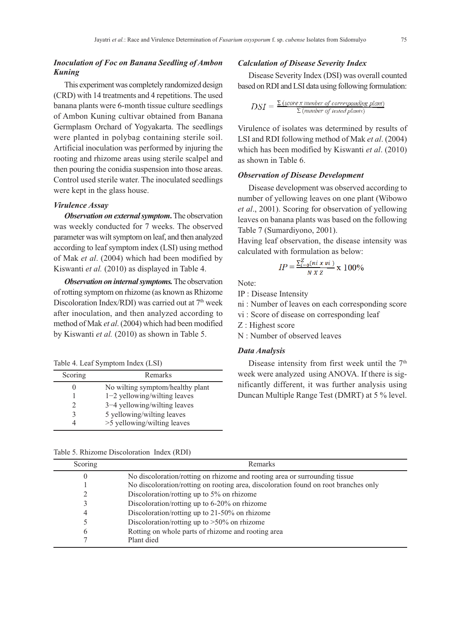## *Inoculation of Foc on Banana Seedling of Ambon Kuning*

This experiment was completely randomized design (CRD) with 14 treatments and 4 repetitions. The used banana plants were 6-month tissue culture seedlings of Ambon Kuning cultivar obtained from Banana Germplasm Orchard of Yogyakarta. The seedlings were planted in polybag containing sterile soil. Artificial inoculation was performed by injuring the rooting and rhizome areas using sterile scalpel and then pouring the conidia suspension into those areas. Control used sterile water. The inoculated seedlings were kept in the glass house.

### *Virulence Assay*

*Observation on external symptom*. The observation was weekly conducted for 7 weeks. The observed parameter was wilt symptom on leaf, and then analyzed according to leaf symptom index (LSI) using method of Mak *et al*. (2004) which had been modified by Kiswanti *et al.* (2010) as displayed in Table 4.

*Observation on internal symptoms.* The observation of rotting symptom on rhizome (as known as Rhizome Discoloration Index/RDI) was carried out at 7<sup>th</sup> week after inoculation, and then analyzed according to method of Mak *et al*. (2004) which had been modified by Kiswanti *et al.* (2010) as shown in Table 5.

Table 4. Leaf Symptom Index (LSI)

| Scoring | Remarks                          |
|---------|----------------------------------|
| 0       | No wilting symptom/healthy plant |
|         | $1-2$ yellowing/wilting leaves   |
|         | 3–4 yellowing/wilting leaves     |
| 3       | 5 yellowing/wilting leaves       |
|         | >5 yellowing/wilting leaves      |
|         |                                  |

#### Table 5. Rhizome Discoloration Index (RDI)

### *Calculation of Disease Severity Index*

Disease Severity Index (DSI) was overall counted based onRDI andLSI data using following formulation:

$$
DSI = \frac{\sum (score \, x \, number \, of \, corresponding \, plant)}{\sum (number \, of \, tested \, plants)}
$$

Virulence of isolates was determined by results of LSI and RDI following method of Mak *et al*. (2004) which has been modified by Kiswanti *et al*. (2010) as shown in Table 6.

### *Observation of Disease Development*

Disease development was observed according to number of yellowing leaves on one plant (Wibowo *et al*., 2001). Scoring for observation of yellowing leaves on banana plants was based on the following Table 7 (Sumardiyono, 2001).

Having leaf observation, the disease intensity was calculated with formulation as below:

$$
IP = \frac{\sum_{i=0}^{Z} (ni \; x \; vi)}{N \; X \; Z} \; X \; 100\%
$$

Note:

IP : Disease Intensity

- ni : Number of leaves on each corresponding score
- vi : Score of disease on corresponding leaf
- Z : Highest score
- N : Number of observed leaves

## *Data Analysis*

Disease intensity from first week until the 7<sup>th</sup> week were analyzed using ANOVA. If there is significantly different, it was further analysis using Duncan Multiple Range Test (DMRT) at 5 % level.

| Scoring | <b>Remarks</b>                                                                      |
|---------|-------------------------------------------------------------------------------------|
| 0       | No discoloration/rotting on rhizome and rooting area or surrounding tissue          |
|         | No discoloration/rotting on rooting area, discoloration found on root branches only |
| 2       | Discoloration/rotting up to 5% on rhizome                                           |
| 3       | Discoloration/rotting up to $6-20\%$ on rhizome                                     |
| 4       | Discoloration/rotting up to 21-50% on rhizome                                       |
| 5       | Discoloration/rotting up to $>50\%$ on rhizome                                      |
| 6       | Rotting on whole parts of rhizome and rooting area                                  |
| 7       | Plant died                                                                          |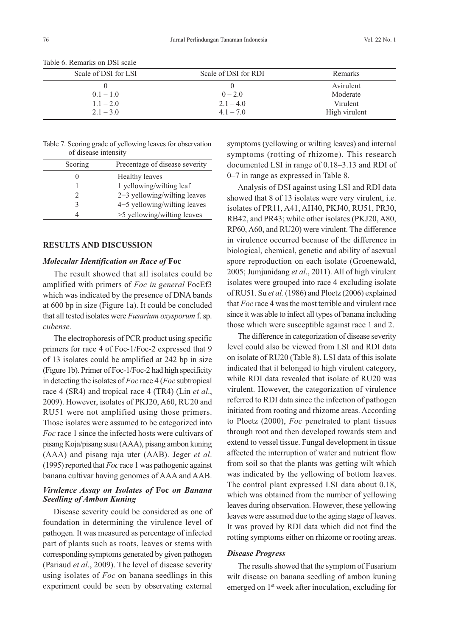| Scale of DSI for LSI       | Scale of DSI for RDI       | Remarks                   |
|----------------------------|----------------------------|---------------------------|
| $0.1 - 1.0$                | $0 - 2.0$                  | Avirulent<br>Moderate     |
| $1.1 - 2.0$<br>$2.1 - 3.0$ | $2.1 - 4.0$<br>$4.1 - 7.0$ | Virulent<br>High virulent |

Table 6. Remarks on DSI scale

Table 7. Scoring grade of yellowing leaves for observation of disease intensity

| Scoring | Precentage of disease severity |
|---------|--------------------------------|
|         | Healthy leaves                 |
|         | 1 yellowing/wilting leaf       |
|         | $2-3$ yellowing/wilting leaves |
|         | 4-5 yellowing/wilting leaves   |
|         | >5 yellowing/wilting leaves    |

### **RESULTS AND DISCUSSION**

## *Molecular Identification on Race of* **Foc**

The result showed that all isolates could be amplified with primers of *Foc in general* FocEf3 which was indicated by the presence of DNA bands at 600 bp in size (Figure 1a). It could be concluded that all tested isolates were *Fusarium oxysporum* f.sp. *cubense.*

The electrophoresis of PCR product using specific primers for race 4 of Foc-1/Foc-2 expressed that 9 of 13 isolates could be amplified at 242 bp in size (Figure 1b). Primer of Foc-1/Foc-2 had high specificity in detecting the isolates of *Foc* race 4 (*Foc* subtropical race 4 (SR4) and tropical race 4 (TR4) (Lin *et al*., 2009). However, isolates of PKJ20, A60, RU20 and RU51 were not amplified using those primers. Those isolates were assumed to be categorized into *Foc* race 1 since the infected hosts were cultivars of pisang Koja/pisang susu (AAA), pisang ambon kuning (AAA) and pisang raja uter (AAB). Jeger *et al*. (1995) reported that *Foc* race 1 was pathogenic against banana cultivar having genomes of AAA and AAB.

## *Virulence Assay on Isolates of* **Foc** *on Banana Seedling of Ambon Kuning*

Disease severity could be considered as one of foundation in determining the virulence level of pathogen. It was measured as percentage of infected part of plants such as roots, leaves or stems with corresponding symptoms generated by given pathogen (Pariaud *et al*., 2009). The level of disease severity using isolates of *Foc* on banana seedlings in this experiment could be seen by observating external

symptoms (yellowing or wilting leaves) and internal symptoms (rotting of rhizome). This research documented LSI in range of 0.18–3.13 and RDI of 0–7 in range as expressed in Table 8.

Analysis of DSI against using LSI and RDI data showed that 8 of 13 isolates were very virulent, i.e. isolates of PR11, A41, AH40, PKJ40, RU51, PR30, RB42, and PR43; while other isolates (PKJ20, A80, RP60, A60, and RU20) were virulent. The difference in virulence occurred because of the difference in biological, chemical, genetic and ability of asexual spore reproduction on each isolate (Groenewald, 2005; Jumjunidang *et al*., 2011). All of high virulent isolates were grouped into race 4 excluding isolate of RU51. Su *et al.* (1986) and Ploetz (2006) explained that *Foc* race 4 was the most terrible and virulent race since it was able to infect all types of banana including those which were susceptible against race 1 and 2.

The difference in categorization of disease severity level could also be viewed from LSI and RDI data on isolate of RU20 (Table 8). LSI data of this isolate indicated that it belonged to high virulent category, while RDI data revealed that isolate of RU20 was virulent. However, the categorization of virulence referred to RDI data since the infection of pathogen initiated from rooting and rhizome areas. According to Ploetz (2000), *Foc* penetrated to plant tissues through root and then developed towards stem and extend to vessel tissue. Fungal development in tissue affected the interruption of water and nutrient flow from soil so that the plants was getting wilt which was indicated by the yellowing of bottom leaves. The control plant expressed LSI data about 0.18, which was obtained from the number of yellowing leaves during observation. However, these yellowing leaves were assumed due to the aging stage of leaves. It was proved by RDI data which did not find the rotting symptoms either on rhizome or rooting areas.

### *Disease Progress*

The results showed that the symptom of Fusarium wilt disease on banana seedling of ambon kuning emerged on 1<sup>st</sup> week after inoculation, excluding for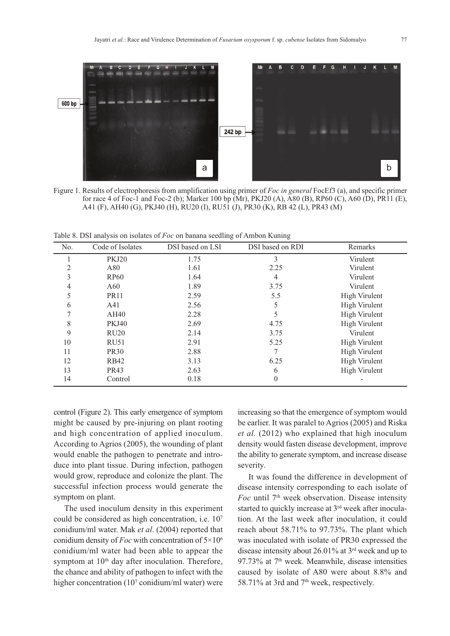

Figure 1. Results of electrophoresis from amplification using primer of *Foc in general* FocEf3 (a), and specific primer for race 4 of Foc-1 and Foc-2 (b); Marker 100 bp (Mr), PKJ20 (A), A80 (B), RP60 (C), A60 (D), PR11 (E), A41 (F), AH40 (G), PKJ40 (H), RU20 (I), RU51 (J), PR30 (K), RB 42 (L), PR43 (M)

Table 8. DSI analysis on isolates of *Foc* on banana seedling of Ambon Kuning

| No. | Code of Isolates | DSI based on LSI | DSI based on RDI | Remarks              |
|-----|------------------|------------------|------------------|----------------------|
|     | <b>PKJ20</b>     | 1.75             | 3                | Virulent             |
| 2   | A80              | 1.61             | 2.25             | Virulent             |
| 3   | <b>RP60</b>      | 1.64             | 4                | Virulent             |
| 4   | A60              | 1.89             | 3.75             | Virulent             |
| 5   | <b>PR11</b>      | 2.59             | 5.5              | High Virulent        |
| 6   | A41              | 2.56             | 5                | <b>High Virulent</b> |
|     | AH40             | 2.28             | 5                | High Virulent        |
| 8   | <b>PKJ40</b>     | 2.69             | 4.75             | <b>High Virulent</b> |
| 9   | RU20             | 2.14             | 3.75             | Virulent             |
| 10  | <b>RU51</b>      | 2.91             | 5.25             | High Virulent        |
| 11  | <b>PR30</b>      | 2.88             |                  | High Virulent        |
| 12  | <b>RB42</b>      | 3.13             | 6.25             | High Virulent        |
| 13  | <b>PR43</b>      | 2.63             | 6                | High Virulent        |
| 14  | Control          | 0.18             | $\Omega$         |                      |

control (Figure 2). This early emergence of symptom might be caused by pre-injuring on plant rooting and high concentration of applied inoculum. According to Agrios (2005), the wounding of plant would enable the pathogen to penetrate and introduce into plant tissue. During infection, pathogen would grow, reproduce and colonize the plant. The successful infection process would generate the symptom on plant.

The used inoculum density in this experiment could be considered as high concentration, i.e. 107 conidium/ml water. Mak *et al*. (2004) reported that conidium density of *Foc* with concentration of 5×106 conidium/ml water had been able to appear the symptom at 10<sup>th</sup> day after inoculation. Therefore, the chance and ability of pathogen to infect with the higher concentration (10<sup>7</sup> conidium/ml water) were increasing so that the emergence of symptom would be earlier. It was paralel to Agrios (2005) and Riska *et al.* (2012) who explained that high inoculum density would fasten disease development, improve the ability to generate symptom, and increase disease severity.

It was found the difference in development of disease intensity corresponding to each isolate of *Foc* until 7th week observation. Disease intensity started to quickly increase at 3<sup>rd</sup> week after inoculation. At the last week after inoculation, it could reach about 58.71% to 97.73%. The plant which was inoculated with isolate of PR30 expressed the disease intensity about 26.01% at 3rd week and up to 97.73% at  $7<sup>th</sup>$  week. Meanwhile, disease intensities caused by isolate of A80 were about 8.8% and 58.71% at 3rd and  $7<sup>th</sup>$  week, respectively.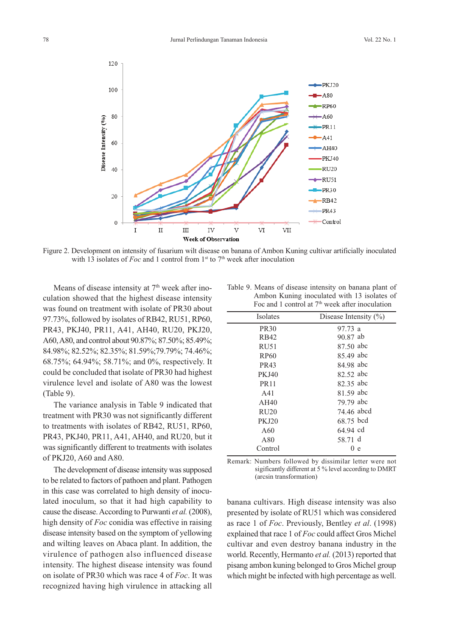

Figure 2. Development on intensity of fusarium wilt disease on banana of Ambon Kuning cultivar artificially inoculated with 13 isolates of *Foc* and 1 control from  $1<sup>st</sup>$  to  $7<sup>th</sup>$  week after inoculation

Means of disease intensity at  $7<sup>th</sup>$  week after inoculation showed that the highest disease intensity was found on treatment with isolate of PR30 about 97.73%, followed by isolates of RB42, RU51, RP60, PR43, PKJ40, PR11, A41, AH40, RU20, PKJ20, A60,A80, and control about 90.87%; 87.50%; 85.49%; 84.98%; 82.52%; 82.35%; 81.59%;79.79%; 74.46%; 68.75%; 64.94%; 58.71%; and 0%, respectively. It could be concluded that isolate of PR30 had highest virulence level and isolate of A80 was the lowest (Table 9).

The variance analysis in Table 9 indicated that treatment with PR30 was not significantly different to treatments with isolates of RB42, RU51, RP60, PR43, PKJ40, PR11, A41, AH40, and RU20, but it was significantly different to treatments with isolates of PKJ20, A60 and A80.

The development of disease intensity was supposed to be related to factors of pathoen and plant. Pathogen in this case was correlated to high density of inoculated inoculum, so that it had high capability to cause the disease.According to Purwanti *et al.* (2008), high density of *Foc* conidia was effective in raising disease intensity based on the symptom of yellowing and wilting leaves on Abaca plant. In addition, the virulence of pathogen also influenced disease intensity. The highest disease intensity was found on isolate of PR30 which was race 4 of *Foc*. It was recognized having high virulence in attacking all

Table 9. Means of disease intensity on banana plant of Ambon Kuning inoculated with 13 isolates of Foc and 1 control at  $7<sup>th</sup>$  week after inoculation

| <b>Isolates</b>  | Disease Intensity $(\%)$ |
|------------------|--------------------------|
| <b>PR30</b>      | 97.73 a                  |
| RB42             | 90.87 ab                 |
| RU51             | 87.50 abc                |
| RP <sub>60</sub> | 85.49 abc                |
| PR43             | 84.98 abc                |
| <b>PKJ40</b>     | 82.52 abc                |
| <b>PR11</b>      | 82.35 abc                |
| A41              | 81.59 abc                |
| AH40             | 79.79 abc                |
| RU <sub>20</sub> | 74.46 abcd               |
| <b>PKJ20</b>     | 68.75 bcd                |
| A60              | 64.94 cd                 |
| A80              | 58.71 d                  |
| Control          | 0 e                      |
|                  |                          |

Remark: Numbers followed by dissimilar letter were not sigificantly different at 5 % level according to DMRT (arcsin transformation)

banana cultivars. High disease intensity was also presented by isolate of RU51 which was considered as race 1 of *Foc*. Previously, Bentley *et al*. (1998) explained that race 1 of *Foc* could affect Gros Michel cultivar and even destroy banana industry in the world. Recently, Hermanto *et al.* (2013) reported that pisang ambon kuning belonged to Gros Michel group which might be infected with high percentage as well.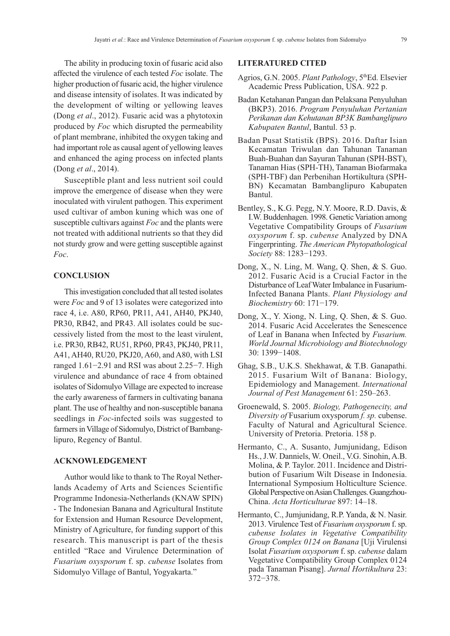The ability in producing toxin of fusaric acid also affected the virulence of each tested *Foc* isolate. The higher production of fusaric acid, the higher virulence and disease intensity of isolates. It was indicated by the development of wilting or yellowing leaves (Dong *et al*., 2012). Fusaric acid was a phytotoxin produced by *Foc* which disrupted the permeability of plant membrane, inhibited the oxygen taking and had important role as causal agent of yellowing leaves and enhanced the aging process on infected plants (Dong *et al*., 2014).

Susceptible plant and less nutrient soil could improve the emergence of disease when they were inoculated with virulent pathogen. This experiment used cultivar of ambon kuning which was one of susceptible cultivars against *Foc* and the plants were not treated with additional nutrients so that they did not sturdy grow and were getting susceptible against *Foc*.

## **CONCLUSION**

This investigation concluded that all tested isolates were *Foc* and 9 of 13 isolates were categorized into race 4, i.e. A80, RP60, PR11, A41, AH40, PKJ40, PR30, RB42, and PR43. All isolates could be successively listed from the most to the least virulent, i.e. PR30, RB42, RU51, RP60, PR43, PKJ40, PR11, A41, AH40, RU20, PKJ20, A60, and A80, with LSI ranged 1.61−2.91 and RSI was about 2.25−7. High virulence and abundance of race 4 from obtained isolates of Sidomulyo Village are expected to increase the early awareness of farmers in cultivating banana plant. The use of healthy and non-susceptible banana seedlings in *Foc*-infected soils was suggested to farmers in Village of Sidomulyo, District of Bambanglipuro, Regency of Bantul.

## **ACKNOWLEDGEMENT**

Author would like to thank to The Royal Netherlands Academy of Arts and Sciences Scientific Programme Indonesia-Netherlands (KNAW SPIN) - The Indonesian Banana and Agricultural Institute for Extension and Human Resource Development, Ministry of Agriculture, for funding support of this research. This manuscript is part of the thesis entitled "Race and Virulence Determination of *Fusarium oxysporum* f. sp. *cubense* Isolates from Sidomulyo Village of Bantul, Yogyakarta."

### **LITERATURED CITED**

- Agrios, G.N. 2005. *Plant Pathology*, 5th Ed. Elsevier Academic Press Publication, USA. 922 p.
- Badan Ketahanan Pangan dan Pelaksana Penyuluhan (BKP3). 2016. *Program Penyuluhan Pertanian Perikanan dan Kehutanan BP3K Bambanglipuro Kabupaten Bantul*, Bantul. 53 p.
- Badan Pusat Statistik (BPS). 2016. Daftar Isian Kecamatan Triwulan dan Tahunan Tanaman Buah-Buahan dan Sayuran Tahunan (SPH-BST), Tanaman Hias (SPH-TH), Tanaman Biofarmaka (SPH-TBF) dan Perbenihan Hortikultura (SPH-BN) Kecamatan Bambanglipuro Kabupaten Bantul.
- Bentley, S., K.G. Pegg, N.Y. Moore, R.D. Davis, & I.W. Buddenhagen. 1998. Genetic Variation among Vegetative Compatibility Groups of *Fusarium oxysporum* f. sp. *cubense* Analyzed by DNA Fingerprinting. *The American Phytopathological Society* 88: 1283−1293.
- Dong, X., N. Ling, M. Wang, Q. Shen, & S. Guo. 2012. Fusaric Acid is a Crucial Factor in the Disturbance of LeafWater Imbalance in Fusarium-Infected Banana Plants. *Plant Physiology and Biochemistry* 60: 171−179.
- Dong, X., Y. Xiong, N. Ling, Q. Shen, & S. Guo. 2014. Fusaric Acid Accelerates the Senescence of Leaf in Banana when Infected by *Fusarium. World Journal Microbiology and Biotechnology* 30: 1399−1408.
- Ghag, S.B., U.K.S. Shekhawat, & T.B. Ganapathi. 2015. Fusarium Wilt of Banana: Biology, Epidemiology and Management. *International Journal of Pest Management* 61: 250–263.
- Groenewald, S. 2005. *Biology, Pathogenecity, and Diversity of* Fusarium oxysporum *f. sp.* cubense. Faculty of Natural and Agricultural Science. University of Pretoria. Pretoria. 158 p.
- Hermanto, C., A. Susanto, Jumjunidang, Edison Hs., J.W. Danniels, W. Oneil., V.G. Sinohin, A.B. Molina, & P. Taylor. 2011. Incidence and Distribution of Fusarium Wilt Disease in Indonesia. International Symposium Holticulture Science. Global Perspective on Asian Challenges. Guangzhou-China. *Acta Horticulturae* 897: 14–18.
- Hermanto, C., Jumjunidang, R.P. Yanda, & N. Nasir. 2013. Virulence Test of *Fusarium oxysporum* f.sp. *cubense Isolates in Vegetative Compatibility Group Complex 0124 on Banana* [Uji Virulensi Isolat *Fusarium oxysporum* f. sp. *cubense* dalam Vegetative Compatibility Group Complex 0124 pada Tanaman Pisang]. *Jurnal Hortikultura* 23: 372−378.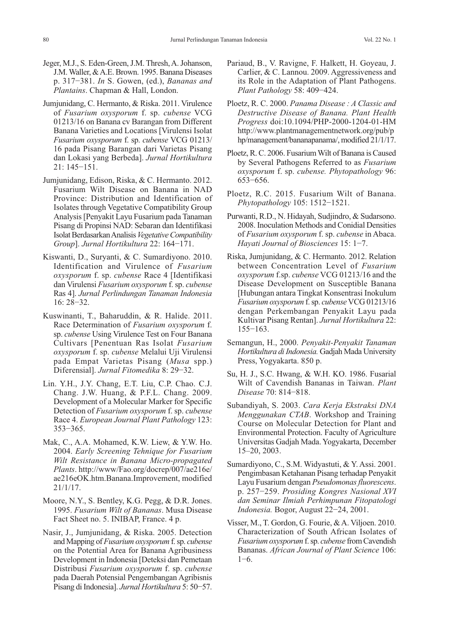- Jeger, M.J., S. Eden-Green, J.M. Thresh, A. Johanson, J.M. Waller, & A.E. Brown. 1995. Banana Diseases p. 317−381. *In* S. Gowen, (ed.), *Bananas and Plantains*. Chapman & Hall, London.
- Jumjunidang, C. Hermanto, & Riska. 2011. Virulence of *Fusarium oxysporum* f. sp. *cubense* VCG 01213/16 on Banana cv Barangan from Different Banana Varieties and Locations [Virulensi Isolat *Fusarium oxysporum* f. sp. *cubense* VCG 01213/ 16 pada Pisang Barangan dari Varietas Pisang dan Lokasi yang Berbeda]. *Jurnal Hortikultura* 21: 145−151.
- Jumjunidang, Edison, Riska, & C. Hermanto. 2012. Fusarium Wilt Disease on Banana in NAD Province: Distribution and Identification of Isolates through Vegetative Compatibility Group Analysis[Penyakit Layu Fusarium pada Tanaman Pisang di Propinsi NAD: Sebaran dan Identifikasi IsolatBerdasarkanAnalisis*VegetativeCompatibility Group*]. *Jurnal Hortikultura* 22: 164−171.
- Kiswanti, D., Suryanti, & C. Sumardiyono. 2010. Identification and Virulence of *Fusarium oxysporum* f. sp. *cubense* Race 4 [Identifikasi dan Virulensi *Fusarium oxysporum* f.sp. *cubense* Ras 4]. *Jurnal Perlindungan Tanaman Indonesia* 16: 28−32.
- Kuswinanti, T., Baharuddin, & R. Halide. 2011. Race Determination of *Fusarium oxysporum* f. sp. *cubense* Using Virulence Test on Four Banana Cultivars [Penentuan Ras Isolat *Fusarium oxysporum* f. sp. *cubense* Melalui Uji Virulensi pada Empat Varietas Pisang (*Musa* spp.) Diferensial]. *Jurnal Fitomedika* 8: 29−32.
- Lin. Y.H., J.Y. Chang, E.T. Liu, C.P. Chao. C.J. Chang. J.W. Huang, & P.F.L. Chang. 2009. Development of a Molecular Marker for Specific Detection of *Fusarium oxysporum* f. sp. *cubense* Race 4. *European Journal Plant Pathology* 123: 353−365.
- Mak, C., A.A. Mohamed, K.W. Liew, & Y.W. Ho. 2004. *Early Screening Tehnique for Fusarium Wilt Resistance in Banana Micro-propagated Plants*. http://www/Fao.org/docrep/007/ae216e/ ae216eOK.htm.Banana.Improvement, modified 21/1/17.
- Moore, N.Y., S. Bentley, K.G. Pegg, & D.R. Jones. 1995. *Fusarium Wilt of Bananas*. Musa Disease Fact Sheet no. 5. INIBAP, France. 4 p.
- Nasir, J., Jumjunidang, & Riska. 2005. Detection and Mapping of *Fusarium oxysporum* f.sp. *cubense* on the Potential Area for Banana Agribusiness Development in Indonesia [Deteksi dan Pemetaan Distribusi *Fusarium oxysporum* f. sp. *cubense* pada Daerah Potensial Pengembangan Agribisnis Pisang diIndonesia]. *Jurnal Hortikultura* 5: 50−57.
- Pariaud, B., V. Ravigne, F. Halkett, H. Goyeau, J. Carlier, & C. Lannou. 2009. Aggressiveness and its Role in the Adaptation of Plant Pathogens. *Plant Pathology* 58: 409−424.
- Ploetz, R. C. 2000. *Panama Disease : A Classic and Destructive Disease of Banana. Plant Health Progress* doi:10.1094/PHP-2000-1204-01-HM http://www.plantmanagementnetwork.org/pub/p hp/management/bananapanama/, modified 21/1/17.
- Ploetz, R.C. 2006. Fusarium Wilt of Banana is Caused by Several Pathogens Referred to as *Fusarium oxysporum* f. sp. *cubense. Phytopathology* 96: 653−656.
- Ploetz, R.C. 2015. Fusarium Wilt of Banana. *Phytopathology* 105: 1512−1521.
- Purwanti, R.D., N. Hidayah, Sudjindro, & Sudarsono. 2008. Inoculation Methods and Conidial Densities of *Fusarium oxysporum* f. sp. *cubense* in Abaca. *Hayati Journal of Biosciences* 15: 1−7.
- Riska, Jumjunidang, & C. Hermanto. 2012. Relation between Concentration Level of *Fusarium oxysporum* f.sp. *cubense* VCG 01213/16 and the Disease Development on Susceptible Banana [Hubungan antara Tingkat Konsentrasi Inokulum *Fusarium oxysporum* f.sp. *cubense*VCG 01213/16 dengan Perkembangan Penyakit Layu pada Kultivar Pisang Rentan]. *Jurnal Hortikultura* 22: 155−163.
- Semangun, H., 2000. *Penyakit-Penyakit Tanaman Hortikultura diIndonesia.* Gadjah Mada University Press, Yogyakarta. 850 p.
- Su, H. J., S.C. Hwang, & W.H. KO. 1986. Fusarial Wilt of Cavendish Bananas in Taiwan. *Plant Disease* 70: 814−818.
- Subandiyah, S. 2003. *Cara Kerja Ekstraksi DNA Menggunakan CTAB*. Workshop and Training Course on Molecular Detection for Plant and Environmental Protection. Faculty of Agriculture Universitas Gadjah Mada. Yogyakarta, December 15–20, 2003.
- Sumardiyono, C., S.M. Widyastuti, & Y. Assi. 2001. Pengimbasan Ketahanan Pisang terhadap Penyakit Layu Fusarium dengan *Pseudomonasfluorescens*. p. 257−259. *Prosiding Kongres Nasional XVI dan Seminar Ilmiah Perhimpunan Fitopatologi Indonesia.* Bogor, August 22−24, 2001.
- Visser, M., T. Gordon, G. Fourie, & A. Viljoen. 2010. Characterization of South African Isolates of *Fusarium oxysporum* f.sp. *cubense* fromCavendish Bananas. *African Journal of Plant Science* 106: 1−6.